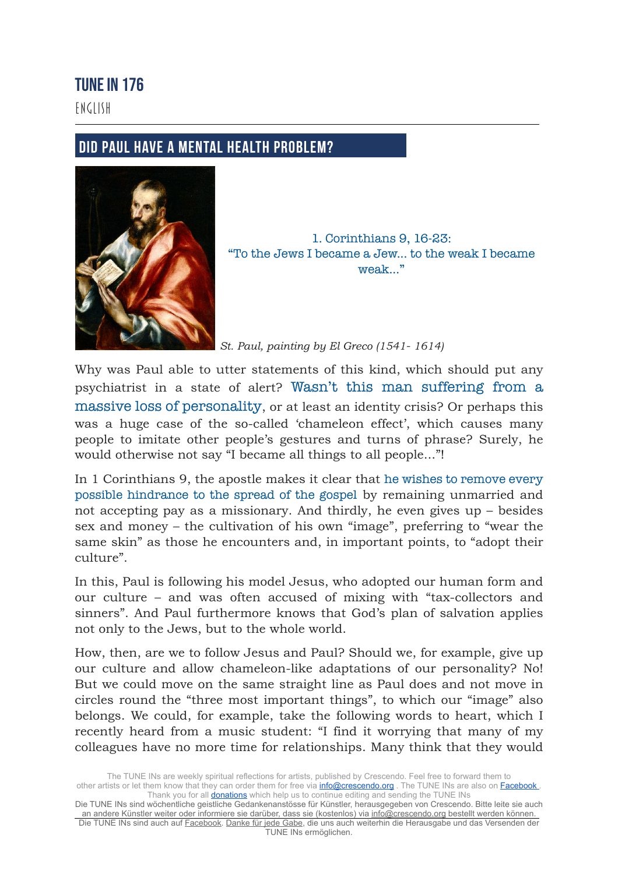## TUNE IN 176

ENGLISH

## **DID PAUL HAVE A MENTAL HEALTH PROBLEM?**



1. Corinthians 9, 16-23: "To the Jews I became a Jew... to the weak I became weak<sup>...</sup>"

*St. Paul, painting by El Greco ([1541-](https://de.wikipedia.org/wiki/1541) [1614](https://de.wikipedia.org/wiki/1614))*

Why was Paul able to utter statements of this kind, which should put any psychiatrist in a state of alert? Wasn't this man suffering from a massive loss of personality, or at least an identity crisis? Or perhaps this was a huge case of the so-called 'chameleon effect', which causes many people to imitate other people's gestures and turns of phrase? Surely, he would otherwise not say "I became all things to all people..."!

In 1 Corinthians 9, the apostle makes it clear that he wishes to remove every possible hindrance to the spread of the gospel by remaining unmarried and not accepting pay as a missionary. And thirdly, he even gives up – besides sex and money – the cultivation of his own "image", preferring to "wear the same skin" as those he encounters and, in important points, to "adopt their culture".

In this, Paul is following his model Jesus, who adopted our human form and our culture – and was often accused of mixing with "tax-collectors and sinners". And Paul furthermore knows that God's plan of salvation applies not only to the Jews, but to the whole world.

How, then, are we to follow Jesus and Paul? Should we, for example, give up our culture and allow chameleon-like adaptations of our personality? No! But we could move on the same straight line as Paul does and not move in circles round the "three most important things", to which our "image" also belongs. We could, for example, take the following words to heart, which I recently heard from a music student: "I find it worrying that many of my colleagues have no more time for relationships. Many think that they would

Die TUNE INs sind wöchentliche geistliche Gedankenanstösse für Künstler, herausgegeben von Crescendo. Bitte leite sie auch an andere Künstler weiter oder informiere sie darüber, dass sie (kostenlos) via [info@crescendo.org](mailto:info@crescendo.org) bestellt werden können. Die TUNE INs sind auch auf [Facebook](https://www.facebook.com/TUNEINs/). [Danke für jede Gabe](https://www.crescendo.org/de/kontakt--spenden.html), die uns auch weiterhin die Herausgabe und das Versenden der TUNE INs ermöglichen.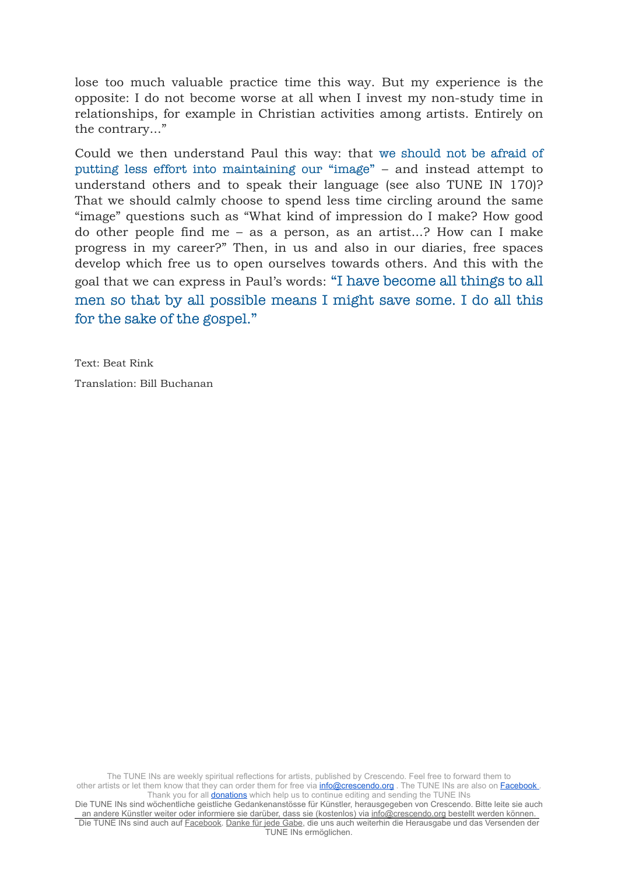lose too much valuable practice time this way. But my experience is the opposite: I do not become worse at all when I invest my non-study time in relationships, for example in Christian activities among artists. Entirely on the contrary..."

Could we then understand Paul this way: that we should not be afraid of putting less effort into maintaining our "image" – and instead attempt to understand others and to speak their language (see also TUNE IN 170)? That we should calmly choose to spend less time circling around the same "image" questions such as "What kind of impression do I make? How good do other people find me – as a person, as an artist...? How can I make progress in my career?" Then, in us and also in our diaries, free spaces develop which free us to open ourselves towards others. And this with the goal that we can express in Paul's words: "I have become all things to all men so that by all possible means I might save some. I do all this for the sake of the gospel."

Text: Beat Rink Translation: Bill Buchanan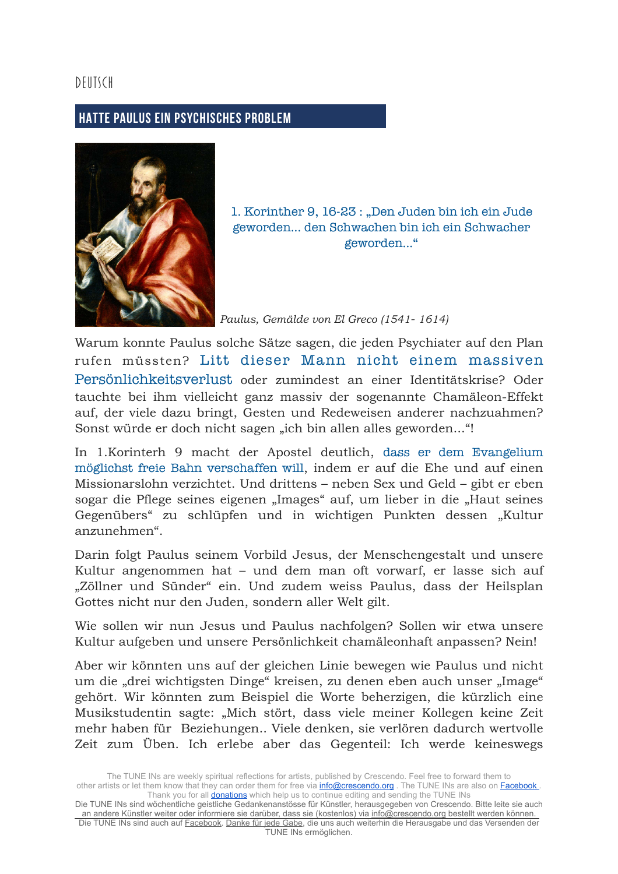## DEUTSCH

## **HATTE PAULUS EIN PSYCHISCHES PROBLEM**



1. Korinther 9, 16-23 : "Den Juden bin ich ein Jude geworden... den Schwachen bin ich ein Schwacher geworden..."

*Paulus, Gemälde von El Greco [\(1541](https://de.wikipedia.org/wiki/1541)- [1614\)](https://de.wikipedia.org/wiki/1614)*

Warum konnte Paulus solche Sätze sagen, die jeden Psychiater auf den Plan rufen müssten? Litt dieser Mann nicht einem massiven Persönlichkeitsverlust oder zumindest an einer Identitätskrise? Oder tauchte bei ihm vielleicht ganz massiv der sogenannte Chamäleon-Effekt auf, der viele dazu bringt, Gesten und Redeweisen anderer nachzuahmen? Sonst würde er doch nicht sagen "ich bin allen alles geworden..."!

In 1.Korinterh 9 macht der Apostel deutlich, dass er dem Evangelium möglichst freie Bahn verschaffen will, indem er auf die Ehe und auf einen Missionarslohn verzichtet. Und drittens – neben Sex und Geld – gibt er eben sogar die Pflege seines eigenen "Images" auf, um lieber in die "Haut seines Gegenübers" zu schlüpfen und in wichtigen Punkten dessen "Kultur anzunehmen".

Darin folgt Paulus seinem Vorbild Jesus, der Menschengestalt und unsere Kultur angenommen hat – und dem man oft vorwarf, er lasse sich auf "Zöllner und Sünder" ein. Und zudem weiss Paulus, dass der Heilsplan Gottes nicht nur den Juden, sondern aller Welt gilt.

Wie sollen wir nun Jesus und Paulus nachfolgen? Sollen wir etwa unsere Kultur aufgeben und unsere Persönlichkeit chamäleonhaft anpassen? Nein!

Aber wir könnten uns auf der gleichen Linie bewegen wie Paulus und nicht um die "drei wichtigsten Dinge" kreisen, zu denen eben auch unser "Image" gehört. Wir könnten zum Beispiel die Worte beherzigen, die kürzlich eine Musikstudentin sagte: "Mich stört, dass viele meiner Kollegen keine Zeit mehr haben für Beziehungen.. Viele denken, sie verlören dadurch wertvolle Zeit zum Üben. Ich erlebe aber das Gegenteil: Ich werde keineswegs

Die TUNE INs sind wöchentliche geistliche Gedankenanstösse für Künstler, herausgegeben von Crescendo. Bitte leite sie auch an andere Künstler weiter oder informiere sie darüber, dass sie (kostenlos) via [info@crescendo.org](mailto:info@crescendo.org) bestellt werden können. Die TUNE INs sind auch auf [Facebook](https://www.facebook.com/TUNEINs/). [Danke für jede Gabe](https://www.crescendo.org/de/kontakt--spenden.html), die uns auch weiterhin die Herausgabe und das Versenden der TUNE INs ermöglichen.